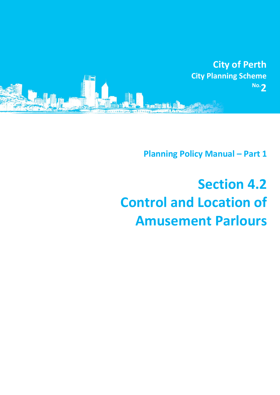

**Planning Policy Manual - Part 1** 

## **Section 4.2 Control and Location of Amusement Parlours**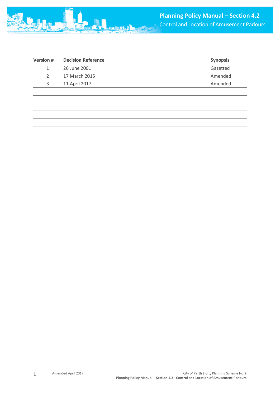| <b>Version #</b> | <b>Decision Reference</b> | <b>Synopsis</b> |
|------------------|---------------------------|-----------------|
|                  | 26 June 2001              | Gazetted        |
|                  | 17 March 2015             | Amended         |
| ર                | 11 April 2017             | Amended         |
|                  |                           |                 |